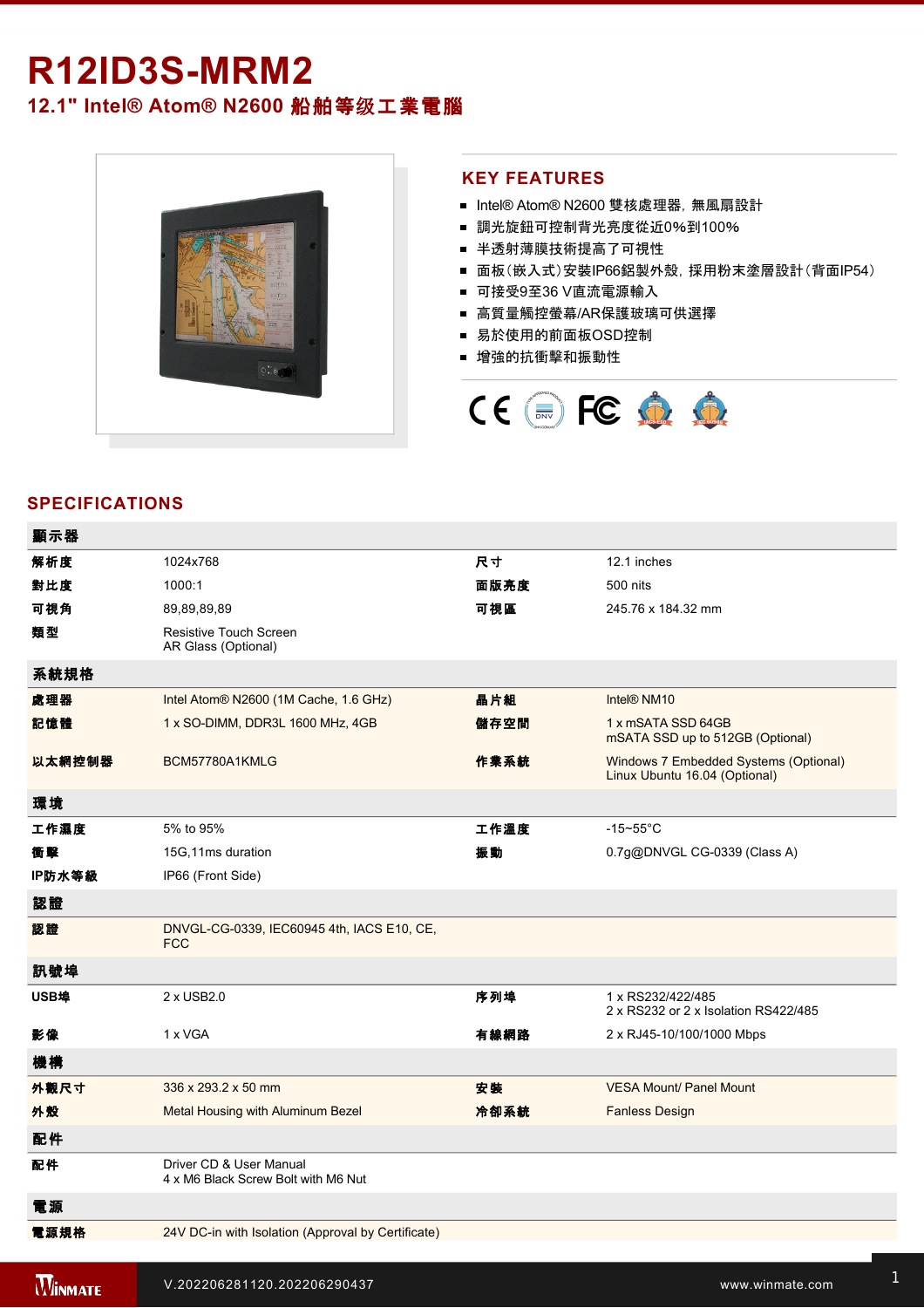# **R12ID3S-MRM2**

# **12.1" Intel® Atom® N2600** 船舶等级工業電腦



## **KEY FEATURES**

- Intel® Atom® N2600 雙核處理器, 無風扇設計
- 調光旋鈕可控制背光亮度從近0%到100%
- 半透射薄膜技術提高了可視性
- 面板(嵌入式)安裝IP66鋁製外殼, 採用粉末塗層設計(背面IP54)
- 可接受9至36 V直流電源輸入
- 高質量觸控螢幕/AR保護玻璃可供選擇
- 易於使用的前面板OSD控制
- 增強的抗衝擊和振動性



### **SPECIFICATIONS**

| 顯示器    |                                                                |      |                                                                        |
|--------|----------------------------------------------------------------|------|------------------------------------------------------------------------|
| 解析度    | 1024x768                                                       | 尺寸   | 12.1 inches                                                            |
| 對比度    | 1000:1                                                         | 面版亮度 | 500 nits                                                               |
| 可視角    | 89,89,89,89                                                    | 可視區  | 245.76 x 184.32 mm                                                     |
| 類型     | <b>Resistive Touch Screen</b><br>AR Glass (Optional)           |      |                                                                        |
| 系統規格   |                                                                |      |                                                                        |
| 處理器    | Intel Atom® N2600 (1M Cache, 1.6 GHz)                          | 晶片組  | Intel <sup>®</sup> NM10                                                |
| 記憶體    | 1 x SO-DIMM, DDR3L 1600 MHz, 4GB                               | 儲存空間 | 1 x mSATA SSD 64GB<br>mSATA SSD up to 512GB (Optional)                 |
| 以太網控制器 | BCM57780A1KMLG                                                 | 作業系統 | Windows 7 Embedded Systems (Optional)<br>Linux Ubuntu 16.04 (Optional) |
| 環境     |                                                                |      |                                                                        |
| 工作濕度   | 5% to 95%                                                      | 工作溫度 | $-15 - 55$ °C                                                          |
| 衝擊     | 15G, 11ms duration                                             | 振動   | 0.7g@DNVGL CG-0339 (Class A)                                           |
| IP防水等級 | IP66 (Front Side)                                              |      |                                                                        |
| 認證     |                                                                |      |                                                                        |
| 認證     | DNVGL-CG-0339, IEC60945 4th, IACS E10, CE,<br><b>FCC</b>       |      |                                                                        |
| 訊號埠    |                                                                |      |                                                                        |
| USB埠   | 2 x USB2.0                                                     | 序列埠  | 1 x RS232/422/485<br>2 x RS232 or 2 x Isolation RS422/485              |
| 影像     | 1 x VGA                                                        | 有線網路 | 2 x RJ45-10/100/1000 Mbps                                              |
| 機構     |                                                                |      |                                                                        |
| 外觀尺寸   | 336 x 293.2 x 50 mm                                            | 安裝   | <b>VESA Mount/ Panel Mount</b>                                         |
| 外殼     | Metal Housing with Aluminum Bezel                              | 冷卻系統 | <b>Fanless Design</b>                                                  |
| 配件     |                                                                |      |                                                                        |
| 配件     | Driver CD & User Manual<br>4 x M6 Black Screw Bolt with M6 Nut |      |                                                                        |
| 電源     |                                                                |      |                                                                        |
| 電源規格   | 24V DC-in with Isolation (Approval by Certificate)             |      |                                                                        |
|        |                                                                |      |                                                                        |

**WINMATE x** 2 x Power Button Button Button Button Button Button Button Button Button Button Button Button Button Button

V.202206281120.202206290437 www.winmate.com 1